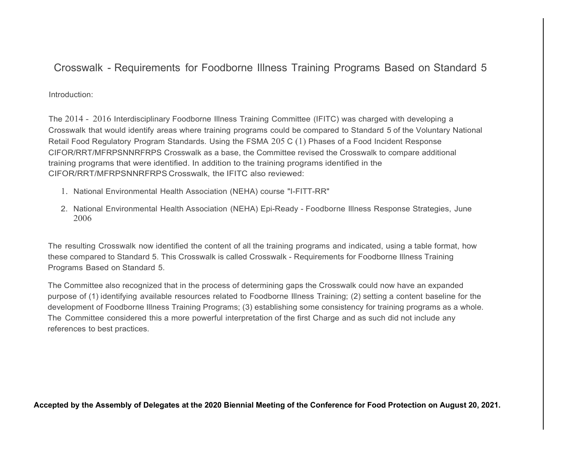## Crosswalk - Requirements for Foodborne Illness Training Programs Based on Standard 5

Introduction:

The 2014 - 2016 Interdisciplinary Foodborne Illness Training Committee (IFITC) was charged with developing a Crosswalk that would identify areas where training programs could be compared to Standard 5 of the Voluntary National Retail Food Regulatory Program Standards. Using the FSMA 205 C (1) Phases of a Food Incident Response CIFOR/RRT/MFRPSNNRFRPS Crosswalk as a base, the Committee revised the Crosswalk to compare additional training programs that were identified. In addition to the training programs identified in the CIFOR/RRT/MFRPSNNRFRPS Crosswalk, the IFITC also reviewed:

- 1. National Environmental Health Association (NEHA) course "I-FITT-RR"
- 2. National Environmental Health Association (NEHA) Epi-Ready Foodborne Illness Response Strategies, June 2006

The resulting Crosswalk now identified the content of all the training programs and indicated, using a table format, how these compared to Standard 5. This Crosswalk is called Crosswalk - Requirements for Foodborne Illness Training Programs Based on Standard 5.

The Committee also recognized that in the process of determining gaps the Crosswalk could now have an expanded purpose of (1) identifying available resources related to Foodborne Illness Training; (2) setting a content baseline for the development of Foodborne Illness Training Programs; (3) establishing some consistency for training programs as a whole. The Committee considered this a more powerful interpretation of the first Charge and as such did not include any references to best practices.

Accepted by the Assembly of Delegates at the 2020 Biennial Meeting of the Conference for Food Protection on August 20, 2021.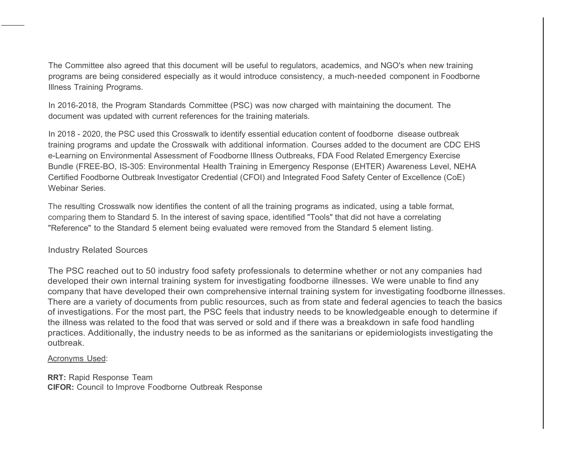The Committee also agreed that this document will be useful to regulators, academics, and NGO's when new training programs are being considered especially as it would introduce consistency, a much-needed component in Foodborne Illness Training Programs.

In 2016-2018, the Program Standards Committee (PSC) was now charged with maintaining the document. The document was updated with current references for the training materials.

In 2018 - 2020, the PSC used this Crosswalk to identify essential education content of foodborne disease outbreak training programs and update the Crosswalk with additional information. Courses added to the document are CDC EHS e-Learning on Environmental Assessment of Foodborne Illness Outbreaks, FDA Food Related Emergency Exercise Bundle (FREE-BO, IS-305: Environmental Health Training in Emergency Response (EHTER) Awareness Level, NEHA Certified Foodborne Outbreak Investigator Credential (CFOI) and Integrated Food Safety Center of Excellence (CoE) Webinar Series.

The resulting Crosswalk now identifies the content of all the training programs as indicated, using a table format, comparing them to Standard 5. In the interest of saving space, identified "Tools" that did not have a correlating "Reference" to the Standard 5 element being evaluated were removed from the Standard 5 element listing.

## Industry Related Sources

The PSC reached out to 50 industry food safety professionals to determine whether or not any companies had developed their own internal training system for investigating foodborne illnesses. We were unable to find any company that have developed their own comprehensive internal training system for investigating foodborne illnesses. There are a variety of documents from public resources, such as from state and federal agencies to teach the basics of investigations. For the most part, the PSC feels that industry needs to be knowledgeable enough to determine if the illness was related to the food that was served or sold and if there was a breakdown in safe food handling practices. Additionally, the industry needs to be as informed as the sanitarians or epidemiologists investigating the outbreak.

## Acronyms Used:

RRT: Rapid Response Team CIFOR: Council to Improve Foodborne Outbreak Response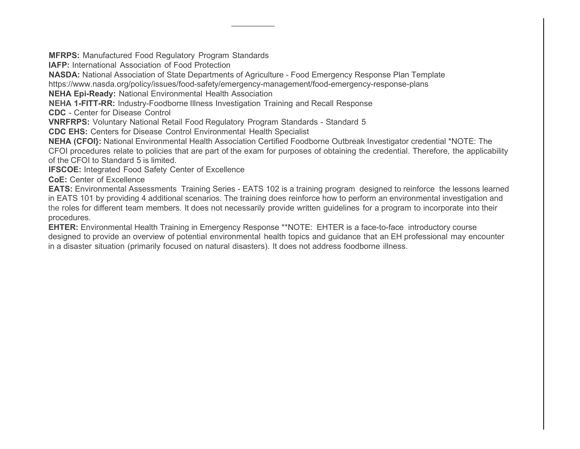MFRPS: Manufactured Food Regulatory Program Standards

IAFP: International Association of Food Protection

NASDA: National Association of State Departments of Agriculture - Food Emergency Response Plan Template

https://www.nasda.org/policy/issues/food-safety/emergency-management/food-emergency-response-plans

NEHA Epi-Ready: National Environmental Health Association

NEHA 1-FITT-RR: lndustry-Foodborne Illness Investigation Training and Recall Response

CDC - Center for Disease Control

VNRFRPS: Voluntary National Retail Food Regulatory Program Standards - Standard 5

CDC EHS: Centers for Disease Control Environmental Health Specialist

NEHA (CFOI}: National Environmental Health Association Certified Foodborne Outbreak Investigator credential \*NOTE: The CFOI procedures relate to policies that are part of the exam for purposes of obtaining the credential. Therefore, the applicability of the CFOI to Standard 5 is limited.

IFSCOE: Integrated Food Safety Center of Excellence

CoE: Center of Excellence

EATS: Environmental Assessments Training Series - EATS 102 is a training program designed to reinforce the lessons learned in EATS 101 by providing 4 additional scenarios. The training does reinforce how to perform an environmental investigation and the roles for different team members. It does not necessarily provide written guidelines for a program to incorporate into their procedures.

EHTER: Environmental Health Training in Emergency Response \*\*NOTE: EHTER is a face-to-face introductory course designed to provide an overview of potential environmental health topics and guidance that an EH professional may encounter in a disaster situation (primarily focused on natural disasters). It does not address foodborne illness.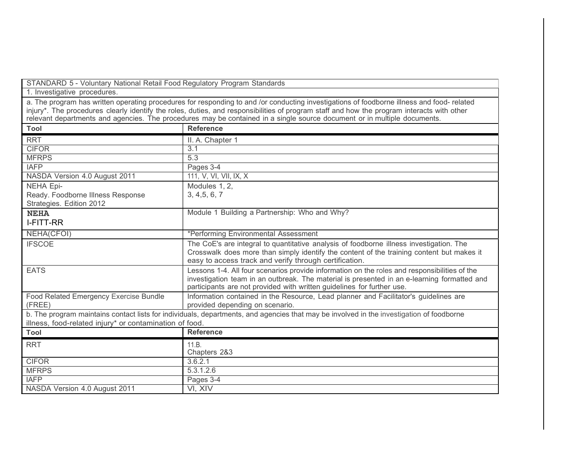STANDARD 5 - Voluntary National Retail Food Regulatory Program Standards

1. Investigative procedures.

a. The program has written operating procedures for responding to and /or conducting investigations of foodborne illness and food- related injury\*. The procedures clearly identify the roles, duties, and responsibilities of program staff and how the program interacts with other relevant departments and agencies. The procedures may be contained in a single source document or in multiple documents.

| Tool                                                                                                                                     | <b>Reference</b>                                                                             |
|------------------------------------------------------------------------------------------------------------------------------------------|----------------------------------------------------------------------------------------------|
| <b>RRT</b>                                                                                                                               | II. A. Chapter 1                                                                             |
| <b>CIFOR</b>                                                                                                                             | 3.1                                                                                          |
| <b>MFRPS</b>                                                                                                                             | 5.3                                                                                          |
| <b>IAFP</b>                                                                                                                              | Pages 3-4                                                                                    |
| NASDA Version 4.0 August 2011                                                                                                            | 111, V, VI, VII, IX, X                                                                       |
| <b>NEHA Epi-</b>                                                                                                                         | Modules 1, 2,                                                                                |
| Ready. Foodborne Illness Response                                                                                                        | 3, 4, 5, 6, 7                                                                                |
| Strategies. Edition 2012                                                                                                                 |                                                                                              |
| <b>NEHA</b>                                                                                                                              | Module 1 Building a Partnership: Who and Why?                                                |
| I-FITT-RR                                                                                                                                |                                                                                              |
| NEHA(CFOI)                                                                                                                               | *Performing Environmental Assessment                                                         |
| <b>IFSCOE</b>                                                                                                                            | The CoE's are integral to quantitative analysis of foodborne illness investigation. The      |
|                                                                                                                                          | Crosswalk does more than simply identify the content of the training content but makes it    |
|                                                                                                                                          | easy to access track and verify through certification.                                       |
| <b>EATS</b>                                                                                                                              | Lessons 1-4. All four scenarios provide information on the roles and responsibilities of the |
|                                                                                                                                          | investigation team in an outbreak. The material is presented in an e-learning formatted and  |
|                                                                                                                                          | participants are not provided with written guidelines for further use.                       |
| Food Related Emergency Exercise Bundle                                                                                                   | Information contained in the Resource, Lead planner and Facilitator's guidelines are         |
| (FREE)                                                                                                                                   | provided depending on scenario.                                                              |
| b. The program maintains contact lists for individuals, departments, and agencies that may be involved in the investigation of foodborne |                                                                                              |
| illness, food-related injury* or contamination of food.                                                                                  |                                                                                              |
| Tool                                                                                                                                     | <b>Reference</b>                                                                             |
| <b>RRT</b>                                                                                                                               | 11.B.                                                                                        |
|                                                                                                                                          | Chapters 2&3                                                                                 |
| <b>CIFOR</b>                                                                                                                             | 3.6.2.1                                                                                      |
| <b>MFRPS</b>                                                                                                                             | 5.3.1.2.6                                                                                    |
| <b>IAFP</b>                                                                                                                              | Pages 3-4                                                                                    |
| NASDA Version 4.0 August 2011                                                                                                            | VI, XIV                                                                                      |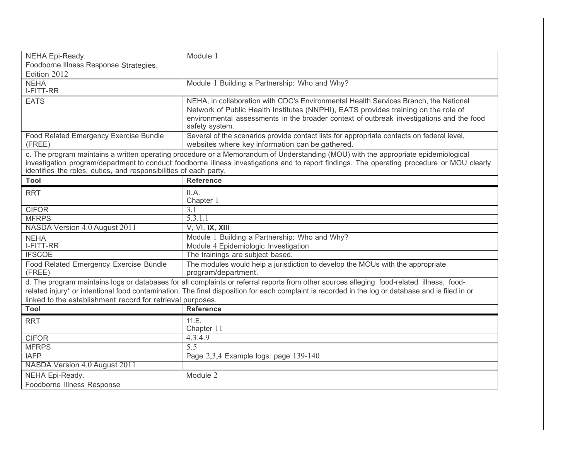| NEHA Epi-Ready.                                                                                                                                                                                                                                                                                                                                              | Module 1                                                                                                                                                                                                                                                                                 |  |
|--------------------------------------------------------------------------------------------------------------------------------------------------------------------------------------------------------------------------------------------------------------------------------------------------------------------------------------------------------------|------------------------------------------------------------------------------------------------------------------------------------------------------------------------------------------------------------------------------------------------------------------------------------------|--|
| Foodborne Illness Response Strategies.<br>Edition 2012                                                                                                                                                                                                                                                                                                       |                                                                                                                                                                                                                                                                                          |  |
| <b>NEHA</b><br>I-FITT-RR                                                                                                                                                                                                                                                                                                                                     | Module 1 Building a Partnership: Who and Why?                                                                                                                                                                                                                                            |  |
| <b>EATS</b>                                                                                                                                                                                                                                                                                                                                                  | NEHA, in collaboration with CDC's Environmental Health Services Branch, the National<br>Network of Public Health Institutes (NNPHI), EATS provides training on the role of<br>environmental assessments in the broader context of outbreak investigations and the food<br>safety system. |  |
| Food Related Emergency Exercise Bundle<br>(FREE)                                                                                                                                                                                                                                                                                                             | Several of the scenarios provide contact lists for appropriate contacts on federal level,<br>websites where key information can be gathered.                                                                                                                                             |  |
| c. The program maintains a written operating procedure or a Memorandum of Understanding (MOU) with the appropriate epidemiological<br>investigation program/department to conduct foodborne illness investigations and to report findings. The operating procedure or MOU clearly<br>identifies the roles, duties, and responsibilities of each party.       |                                                                                                                                                                                                                                                                                          |  |
| <b>Tool</b>                                                                                                                                                                                                                                                                                                                                                  | <b>Reference</b>                                                                                                                                                                                                                                                                         |  |
| <b>RRT</b>                                                                                                                                                                                                                                                                                                                                                   | II.A.<br>Chapter 1                                                                                                                                                                                                                                                                       |  |
| <b>CIFOR</b>                                                                                                                                                                                                                                                                                                                                                 | 3.1                                                                                                                                                                                                                                                                                      |  |
| <b>MFRPS</b>                                                                                                                                                                                                                                                                                                                                                 | 5.3.1.1                                                                                                                                                                                                                                                                                  |  |
| NASDA Version 4.0 August 2011                                                                                                                                                                                                                                                                                                                                | V, VI, IX, XIII                                                                                                                                                                                                                                                                          |  |
| <b>NEHA</b><br>I-FITT-RR                                                                                                                                                                                                                                                                                                                                     | Module 1 Building a Partnership: Who and Why?<br>Module 4 Epidemiologic Investigation                                                                                                                                                                                                    |  |
| <b>IFSCOE</b>                                                                                                                                                                                                                                                                                                                                                | The trainings are subject based.                                                                                                                                                                                                                                                         |  |
| Food Related Emergency Exercise Bundle<br>(FREE)                                                                                                                                                                                                                                                                                                             | The modules would help a jurisdiction to develop the MOUs with the appropriate<br>program/department.                                                                                                                                                                                    |  |
| d. The program maintains logs or databases for all complaints or referral reports from other sources alleging food-related illness, food-<br>related injury* or intentional food contamination. The final disposition for each complaint is recorded in the log or database and is filed in or<br>linked to the establishment record for retrieval purposes. |                                                                                                                                                                                                                                                                                          |  |
| <b>Tool</b>                                                                                                                                                                                                                                                                                                                                                  | <b>Reference</b>                                                                                                                                                                                                                                                                         |  |
| <b>RRT</b>                                                                                                                                                                                                                                                                                                                                                   | 11.E.<br>Chapter 11                                                                                                                                                                                                                                                                      |  |
| <b>CIFOR</b>                                                                                                                                                                                                                                                                                                                                                 | 4.3.4.9                                                                                                                                                                                                                                                                                  |  |
| <b>MFRPS</b>                                                                                                                                                                                                                                                                                                                                                 | 5.5                                                                                                                                                                                                                                                                                      |  |
| <b>IAFP</b>                                                                                                                                                                                                                                                                                                                                                  | Page 2,3,4 Example logs: page 139-140                                                                                                                                                                                                                                                    |  |
| NASDA Version 4.0 August 2011                                                                                                                                                                                                                                                                                                                                |                                                                                                                                                                                                                                                                                          |  |
| NEHA Epi-Ready.                                                                                                                                                                                                                                                                                                                                              | Module 2                                                                                                                                                                                                                                                                                 |  |
| Foodborne Illness Response                                                                                                                                                                                                                                                                                                                                   |                                                                                                                                                                                                                                                                                          |  |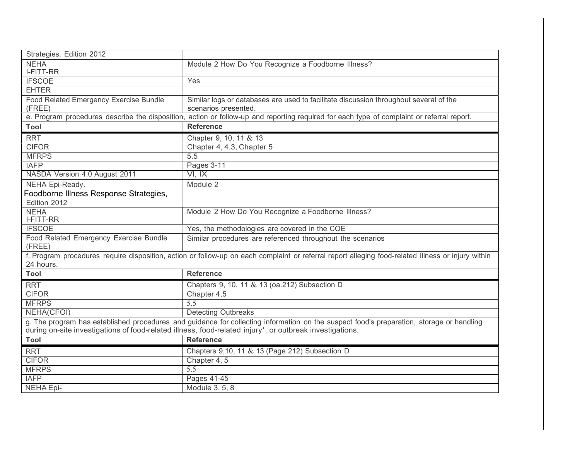| Strategies. Edition 2012                                                                                                                 |                                                                                                                                                    |
|------------------------------------------------------------------------------------------------------------------------------------------|----------------------------------------------------------------------------------------------------------------------------------------------------|
| <b>NEHA</b><br>I-FITT-RR                                                                                                                 | Module 2 How Do You Recognize a Foodborne Illness?                                                                                                 |
| <b>IFSCOE</b>                                                                                                                            | Yes                                                                                                                                                |
| <b>EHTER</b>                                                                                                                             |                                                                                                                                                    |
| Food Related Emergency Exercise Bundle                                                                                                   | Similar logs or databases are used to facilitate discussion throughout several of the                                                              |
| (FREE)                                                                                                                                   | scenarios presented.                                                                                                                               |
|                                                                                                                                          | e. Program procedures describe the disposition, action or follow-up and reporting required for each type of complaint or referral report.          |
| Tool                                                                                                                                     | <b>Reference</b>                                                                                                                                   |
| <b>RRT</b>                                                                                                                               | Chapter 9, 10, 11 & 13                                                                                                                             |
| <b>CIFOR</b>                                                                                                                             | Chapter 4, 4.3, Chapter 5                                                                                                                          |
| <b>MFRPS</b>                                                                                                                             | $\overline{5.5}$                                                                                                                                   |
| <b>IAFP</b>                                                                                                                              | Pages 3-11                                                                                                                                         |
| NASDA Version 4.0 August 2011                                                                                                            | VI, IX                                                                                                                                             |
| NEHA Epi-Ready.                                                                                                                          | Module 2                                                                                                                                           |
| Foodborne Illness Response Strategies,                                                                                                   |                                                                                                                                                    |
| Edition 2012                                                                                                                             |                                                                                                                                                    |
| <b>NEHA</b><br>I-FITT-RR                                                                                                                 | Module 2 How Do You Recognize a Foodborne Illness?                                                                                                 |
| <b>IFSCOE</b>                                                                                                                            | Yes, the methodologies are covered in the COE                                                                                                      |
| Food Related Emergency Exercise Bundle<br>(FREE)                                                                                         | Similar procedures are referenced throughout the scenarios                                                                                         |
|                                                                                                                                          | f. Program procedures require disposition, action or follow-up on each complaint or referral report alleging food-related illness or injury within |
| 24 hours.                                                                                                                                |                                                                                                                                                    |
| <b>Tool</b>                                                                                                                              | <b>Reference</b>                                                                                                                                   |
| <b>RRT</b>                                                                                                                               | Chapters 9, 10, 11 & 13 (oa.212) Subsection D                                                                                                      |
| <b>CIFOR</b>                                                                                                                             | Chapter 4,5                                                                                                                                        |
| <b>MFRPS</b>                                                                                                                             | 5.5                                                                                                                                                |
| NEHA(CFOI)                                                                                                                               | <b>Detecting Outbreaks</b>                                                                                                                         |
| g. The program has established procedures and guidance for collecting information on the suspect food's preparation, storage or handling |                                                                                                                                                    |
|                                                                                                                                          | during on-site investigations of food-related illness, food-related injury*, or outbreak investigations.                                           |
| Tool                                                                                                                                     | <b>Reference</b>                                                                                                                                   |
| <b>RRT</b>                                                                                                                               | Chapters 9,10, 11 & 13 (Page 212) Subsection D                                                                                                     |
| <b>CIFOR</b>                                                                                                                             | Chapter 4, 5                                                                                                                                       |
| <b>MFRPS</b>                                                                                                                             | 5.5                                                                                                                                                |
| <b>IAFP</b>                                                                                                                              | Pages 41-45                                                                                                                                        |
| <b>NEHA Epi-</b>                                                                                                                         | Module 3, 5, 8                                                                                                                                     |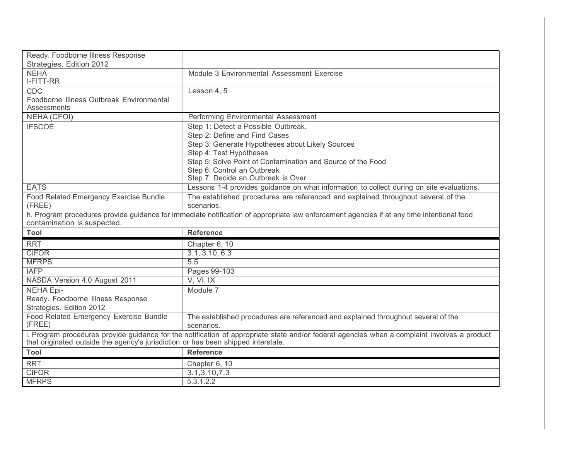| Ready. Foodborne Illness Response                                                                                                                                                                                                 |                                                                                                                                           |
|-----------------------------------------------------------------------------------------------------------------------------------------------------------------------------------------------------------------------------------|-------------------------------------------------------------------------------------------------------------------------------------------|
| Strategies. Edition 2012                                                                                                                                                                                                          |                                                                                                                                           |
| <b>NEHA</b><br>I-FITT-RR                                                                                                                                                                                                          | Module 3 Environmental Assessment Exercise                                                                                                |
| <b>CDC</b>                                                                                                                                                                                                                        | Lesson 4, 5                                                                                                                               |
| Foodborne Illness Outbreak Environmental                                                                                                                                                                                          |                                                                                                                                           |
| Assessments                                                                                                                                                                                                                       |                                                                                                                                           |
| <b>NEHA (CFOI)</b>                                                                                                                                                                                                                | Performing Environmental Assessment                                                                                                       |
| <b>IFSCOE</b>                                                                                                                                                                                                                     | Step 1: Detect a Possible Outbreak.                                                                                                       |
|                                                                                                                                                                                                                                   | Step 2: Define and Find Cases                                                                                                             |
|                                                                                                                                                                                                                                   | Step 3: Generate Hypotheses about Likely Sources                                                                                          |
|                                                                                                                                                                                                                                   | Step 4: Test Hypotheses                                                                                                                   |
|                                                                                                                                                                                                                                   | Step 5: Solve Point of Contamination and Source of the Food                                                                               |
|                                                                                                                                                                                                                                   | Step 6: Control an Outbreak                                                                                                               |
|                                                                                                                                                                                                                                   | Step 7: Decide an Outbreak is Over                                                                                                        |
| <b>EATS</b>                                                                                                                                                                                                                       | Lessons 1-4 provides guidance on what information to collect during on site evaluations.                                                  |
| Food Related Emergency Exercise Bundle                                                                                                                                                                                            | The established procedures are referenced and explained throughout several of the                                                         |
| (FREE)                                                                                                                                                                                                                            | scenarios.                                                                                                                                |
|                                                                                                                                                                                                                                   | h. Program procedures provide guidance for immediate notification of appropriate law enforcement agencies if at any time intentional food |
| contamination is suspected.                                                                                                                                                                                                       |                                                                                                                                           |
| Tool                                                                                                                                                                                                                              | <b>Reference</b>                                                                                                                          |
| <b>RRT</b>                                                                                                                                                                                                                        | Chapter 6, 10                                                                                                                             |
| <b>CIFOR</b>                                                                                                                                                                                                                      | 3.1, 3.10, 6.3                                                                                                                            |
| <b>MFRPS</b>                                                                                                                                                                                                                      | 5.5                                                                                                                                       |
| <b>IAFP</b>                                                                                                                                                                                                                       | Pages 99-103                                                                                                                              |
| NASDA Version 4.0 August 2011                                                                                                                                                                                                     | V, VI, IX                                                                                                                                 |
| <b>NEHA Epi-</b>                                                                                                                                                                                                                  | Module 7                                                                                                                                  |
| Ready. Foodborne Illness Response                                                                                                                                                                                                 |                                                                                                                                           |
| Strategies. Edition 2012                                                                                                                                                                                                          |                                                                                                                                           |
| Food Related Emergency Exercise Bundle                                                                                                                                                                                            | The established procedures are referenced and explained throughout several of the                                                         |
| (FREE)                                                                                                                                                                                                                            | scenarios.                                                                                                                                |
| i. Program procedures provide guidance for the notification of appropriate state and/or federal agencies when a complaint involves a product<br>that originated outside the agency's jurisdiction or has been shipped interstate. |                                                                                                                                           |
| Tool                                                                                                                                                                                                                              | <b>Reference</b>                                                                                                                          |
| <b>RRT</b>                                                                                                                                                                                                                        | Chapter 6, 10                                                                                                                             |
| <b>CIFOR</b>                                                                                                                                                                                                                      | 3.1, 3.10, 7.3                                                                                                                            |
| <b>MFRPS</b>                                                                                                                                                                                                                      | 5.3.1.2.2                                                                                                                                 |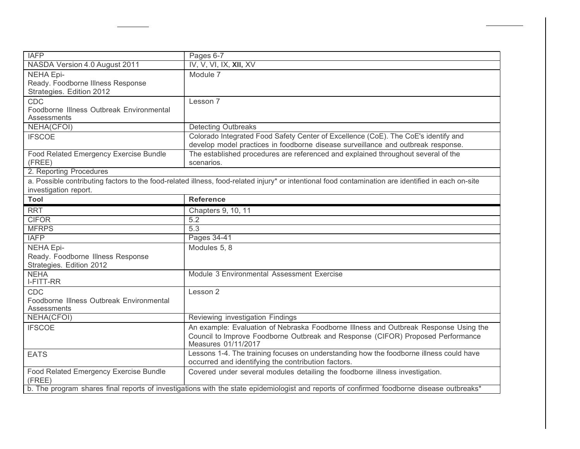| <b>IAFP</b>                                                                                                                               | Pages 6-7                                                                                                                                           |
|-------------------------------------------------------------------------------------------------------------------------------------------|-----------------------------------------------------------------------------------------------------------------------------------------------------|
| NASDA Version 4.0 August 2011                                                                                                             | IV, V, VI, IX, XII, XV                                                                                                                              |
| <b>NEHA Epi-</b>                                                                                                                          | Module 7                                                                                                                                            |
| Ready. Foodborne Illness Response                                                                                                         |                                                                                                                                                     |
| Strategies. Edition 2012                                                                                                                  |                                                                                                                                                     |
| CDC                                                                                                                                       | Lesson 7                                                                                                                                            |
| Foodborne Illness Outbreak Environmental<br>Assessments                                                                                   |                                                                                                                                                     |
| NEHA(CFOI)                                                                                                                                | <b>Detecting Outbreaks</b>                                                                                                                          |
| <b>IFSCOE</b>                                                                                                                             | Colorado Integrated Food Safety Center of Excellence (CoE). The CoE's identify and                                                                  |
|                                                                                                                                           | develop model practices in foodborne disease surveillance and outbreak response.                                                                    |
| Food Related Emergency Exercise Bundle                                                                                                    | The established procedures are referenced and explained throughout several of the                                                                   |
| (FREE)                                                                                                                                    | scenarios.                                                                                                                                          |
| 2. Reporting Procedures                                                                                                                   |                                                                                                                                                     |
|                                                                                                                                           | a. Possible contributing factors to the food-related illness, food-related injury* or intentional food contamination are identified in each on-site |
| investigation report.                                                                                                                     |                                                                                                                                                     |
| Tool                                                                                                                                      | <b>Reference</b>                                                                                                                                    |
| <b>RRT</b>                                                                                                                                | Chapters 9, 10, 11                                                                                                                                  |
| <b>CIFOR</b>                                                                                                                              | 5.2                                                                                                                                                 |
| <b>MFRPS</b>                                                                                                                              | 5.3                                                                                                                                                 |
| <b>IAFP</b>                                                                                                                               | Pages 34-41                                                                                                                                         |
| <b>NEHA Epi-</b>                                                                                                                          | Modules 5, 8                                                                                                                                        |
| Ready. Foodborne Illness Response                                                                                                         |                                                                                                                                                     |
| Strategies. Edition 2012                                                                                                                  |                                                                                                                                                     |
| <b>NEHA</b>                                                                                                                               | Module 3 Environmental Assessment Exercise                                                                                                          |
| I-FITT-RR                                                                                                                                 |                                                                                                                                                     |
| <b>CDC</b>                                                                                                                                | Lesson 2                                                                                                                                            |
| Foodborne Illness Outbreak Environmental<br>Assessments                                                                                   |                                                                                                                                                     |
| NEHA(CFOI)                                                                                                                                | Reviewing investigation Findings                                                                                                                    |
| <b>IFSCOE</b>                                                                                                                             | An example: Evaluation of Nebraska Foodborne Illness and Outbreak Response Using the                                                                |
|                                                                                                                                           | Council to Improve Foodborne Outbreak and Response (CIFOR) Proposed Performance<br>Measures 01/11/2017                                              |
| <b>EATS</b>                                                                                                                               | Lessons 1-4. The training focuses on understanding how the foodborne illness could have<br>occurred and identifying the contribution factors.       |
| Food Related Emergency Exercise Bundle                                                                                                    | Covered under several modules detailing the foodborne illness investigation.                                                                        |
| (FREE)                                                                                                                                    |                                                                                                                                                     |
| b. The program shares final reports of investigations with the state epidemiologist and reports of confirmed foodborne disease outbreaks* |                                                                                                                                                     |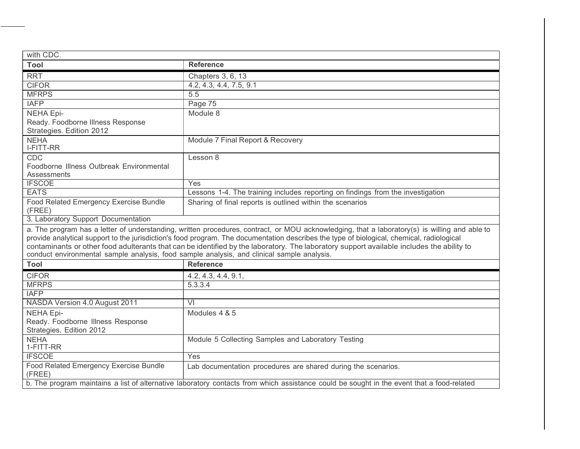| with CDC.                                                                                  |                                                                                                                                               |
|--------------------------------------------------------------------------------------------|-----------------------------------------------------------------------------------------------------------------------------------------------|
| Tool                                                                                       | <b>Reference</b>                                                                                                                              |
| <b>RRT</b>                                                                                 | Chapters 3, 6, 13                                                                                                                             |
| <b>CIFOR</b>                                                                               | 4.2, 4.3, 4.4, 7.5, 9.1                                                                                                                       |
| <b>MFRPS</b>                                                                               | 5.5                                                                                                                                           |
| <b>IAFP</b>                                                                                | Page 75                                                                                                                                       |
| <b>NEHA Epi-</b>                                                                           | Module 8                                                                                                                                      |
| Ready. Foodborne Illness Response                                                          |                                                                                                                                               |
| Strategies. Edition 2012                                                                   |                                                                                                                                               |
| <b>NEHA</b>                                                                                | Module 7 Final Report & Recovery                                                                                                              |
| I-FITT-RR                                                                                  |                                                                                                                                               |
| <b>CDC</b>                                                                                 | Lesson 8                                                                                                                                      |
| Foodborne Illness Outbreak Environmental                                                   |                                                                                                                                               |
| <b>Assessments</b><br><b>IFSCOE</b>                                                        |                                                                                                                                               |
| <b>EATS</b>                                                                                | Yes                                                                                                                                           |
|                                                                                            | Lessons 1-4. The training includes reporting on findings from the investigation                                                               |
| Food Related Emergency Exercise Bundle<br>(FREE)                                           | Sharing of final reports is outlined within the scenarios                                                                                     |
| 3. Laboratory Support Documentation                                                        |                                                                                                                                               |
|                                                                                            | a. The program has a letter of understanding, written procedures, contract, or MOU acknowledging, that a laboratory(s) is willing and able to |
|                                                                                            | provide analytical support to the jurisdiction's food program. The documentation describes the type of biological, chemical, radiological     |
|                                                                                            | contaminants or other food adulterants that can be identified by the laboratory. The laboratory support available includes the ability to     |
| conduct environmental sample analysis, food sample analysis, and clinical sample analysis. |                                                                                                                                               |
| Tool                                                                                       | <b>Reference</b>                                                                                                                              |
| <b>CIFOR</b>                                                                               | 4.2, 4.3, 4.4, 9.1,                                                                                                                           |
| <b>MFRPS</b>                                                                               | 5.3.3.4                                                                                                                                       |
| <b>IAFP</b>                                                                                |                                                                                                                                               |
| NASDA Version 4.0 August 2011                                                              | VI                                                                                                                                            |
| <b>NEHA Epi-</b>                                                                           | Modules 4 & 5                                                                                                                                 |
| Ready. Foodborne Illness Response                                                          |                                                                                                                                               |
| Strategies. Edition 2012                                                                   |                                                                                                                                               |
| <b>NEHA</b>                                                                                | Module 5 Collecting Samples and Laboratory Testing                                                                                            |
| 1-FITT-RR                                                                                  |                                                                                                                                               |
| <b>IFSCOE</b>                                                                              | Yes                                                                                                                                           |
| Food Related Emergency Exercise Bundle                                                     | Lab documentation procedures are shared during the scenarios.                                                                                 |
| (FREE)                                                                                     |                                                                                                                                               |
|                                                                                            | b. The program maintains a list of alternative laboratory contacts from which assistance could be sought in the event that a food-related     |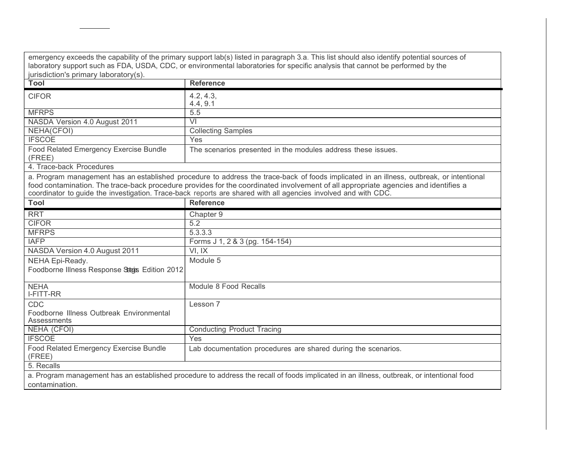| jurisdiction's primary laboratory(s).                                                                                                                                                                                                                                                                                                                                                            | emergency exceeds the capability of the primary support lab(s) listed in paragraph 3.a. This list should also identify potential sources of<br>laboratory support such as FDA, USDA, CDC, or environmental laboratories for specific analysis that cannot be performed by the |
|--------------------------------------------------------------------------------------------------------------------------------------------------------------------------------------------------------------------------------------------------------------------------------------------------------------------------------------------------------------------------------------------------|-------------------------------------------------------------------------------------------------------------------------------------------------------------------------------------------------------------------------------------------------------------------------------|
| Tool                                                                                                                                                                                                                                                                                                                                                                                             | <b>Reference</b>                                                                                                                                                                                                                                                              |
| <b>CIFOR</b>                                                                                                                                                                                                                                                                                                                                                                                     | 4.2, 4.3,<br>4.4, 9.1                                                                                                                                                                                                                                                         |
| <b>MFRPS</b>                                                                                                                                                                                                                                                                                                                                                                                     | 5.5                                                                                                                                                                                                                                                                           |
| NASDA Version 4.0 August 2011                                                                                                                                                                                                                                                                                                                                                                    | $\overline{\mathsf{V}}$                                                                                                                                                                                                                                                       |
| NEHA(CFOI)                                                                                                                                                                                                                                                                                                                                                                                       | <b>Collecting Samples</b>                                                                                                                                                                                                                                                     |
| <b>IFSCOE</b>                                                                                                                                                                                                                                                                                                                                                                                    | Yes                                                                                                                                                                                                                                                                           |
| Food Related Emergency Exercise Bundle<br>(FREE)                                                                                                                                                                                                                                                                                                                                                 | The scenarios presented in the modules address these issues.                                                                                                                                                                                                                  |
| 4. Trace-back Procedures                                                                                                                                                                                                                                                                                                                                                                         |                                                                                                                                                                                                                                                                               |
| a. Program management has an established procedure to address the trace-back of foods implicated in an illness, outbreak, or intentional<br>food contamination. The trace-back procedure provides for the coordinated involvement of all appropriate agencies and identifies a<br>coordinator to quide the investigation. Trace-back reports are shared with all agencies involved and with CDC. |                                                                                                                                                                                                                                                                               |
| Tool                                                                                                                                                                                                                                                                                                                                                                                             | <b>Reference</b>                                                                                                                                                                                                                                                              |
| <b>RRT</b>                                                                                                                                                                                                                                                                                                                                                                                       | Chapter 9                                                                                                                                                                                                                                                                     |
| <b>CIFOR</b>                                                                                                                                                                                                                                                                                                                                                                                     | 5.2                                                                                                                                                                                                                                                                           |
| <b>MFRPS</b>                                                                                                                                                                                                                                                                                                                                                                                     | 5.3.3.3                                                                                                                                                                                                                                                                       |
| <b>IAFP</b>                                                                                                                                                                                                                                                                                                                                                                                      | Forms J 1, 2 & 3 (pg. 154-154)                                                                                                                                                                                                                                                |
| NASDA Version 4.0 August 2011                                                                                                                                                                                                                                                                                                                                                                    | VI, IX                                                                                                                                                                                                                                                                        |
| NEHA Epi-Ready.<br>Foodborne Illness Response Stees Edition 2012                                                                                                                                                                                                                                                                                                                                 | Module 5                                                                                                                                                                                                                                                                      |
| <b>NEHA</b><br>I-FITT-RR                                                                                                                                                                                                                                                                                                                                                                         | Module 8 Food Recalls                                                                                                                                                                                                                                                         |
| <b>CDC</b><br>Foodborne Illness Outbreak Environmental<br>Assessments                                                                                                                                                                                                                                                                                                                            | Lesson 7                                                                                                                                                                                                                                                                      |
| <b>NEHA (CFOI)</b>                                                                                                                                                                                                                                                                                                                                                                               | <b>Conducting Product Tracing</b>                                                                                                                                                                                                                                             |
| <b>IFSCOE</b>                                                                                                                                                                                                                                                                                                                                                                                    | Yes                                                                                                                                                                                                                                                                           |
| Food Related Emergency Exercise Bundle<br>(FREE)                                                                                                                                                                                                                                                                                                                                                 | Lab documentation procedures are shared during the scenarios.                                                                                                                                                                                                                 |
| 5. Recalls                                                                                                                                                                                                                                                                                                                                                                                       |                                                                                                                                                                                                                                                                               |
| contamination.                                                                                                                                                                                                                                                                                                                                                                                   | a. Program management has an established procedure to address the recall of foods implicated in an illness, outbreak, or intentional food                                                                                                                                     |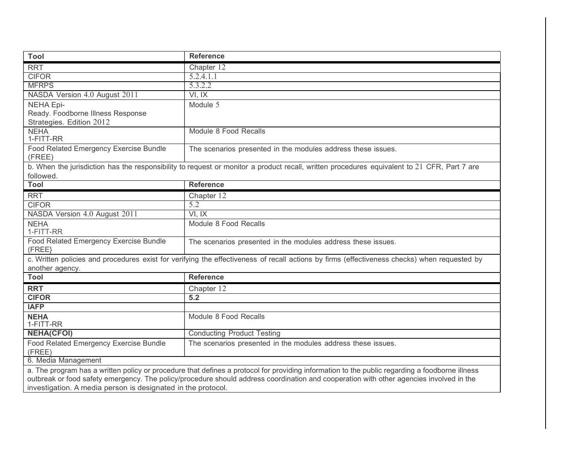| <b>Tool</b>                                                                                                                                                     | <b>Reference</b>                                                                                                                            |
|-----------------------------------------------------------------------------------------------------------------------------------------------------------------|---------------------------------------------------------------------------------------------------------------------------------------------|
| <b>RRT</b>                                                                                                                                                      | Chapter 12                                                                                                                                  |
| <b>CIFOR</b>                                                                                                                                                    | 5.2.4.1.1                                                                                                                                   |
| <b>MFRPS</b>                                                                                                                                                    | 5.3.2.2                                                                                                                                     |
| NASDA Version 4.0 August 2011                                                                                                                                   | VI, IX                                                                                                                                      |
| <b>NEHA Epi-</b>                                                                                                                                                | Module 5                                                                                                                                    |
| Ready. Foodborne Illness Response                                                                                                                               |                                                                                                                                             |
| Strategies. Edition 2012                                                                                                                                        |                                                                                                                                             |
| <b>NEHA</b><br>1-FITT-RR                                                                                                                                        | Module 8 Food Recalls                                                                                                                       |
| Food Related Emergency Exercise Bundle                                                                                                                          |                                                                                                                                             |
| (FREE)                                                                                                                                                          | The scenarios presented in the modules address these issues.                                                                                |
|                                                                                                                                                                 | b. When the jurisdiction has the responsibility to request or monitor a product recall, written procedures equivalent to 21 CFR, Part 7 are |
| followed.                                                                                                                                                       |                                                                                                                                             |
| <b>Tool</b>                                                                                                                                                     | <b>Reference</b>                                                                                                                            |
| <b>RRT</b>                                                                                                                                                      | Chapter 12                                                                                                                                  |
| <b>CIFOR</b>                                                                                                                                                    | 5.2                                                                                                                                         |
| NASDA Version 4.0 August 2011                                                                                                                                   | VI, IX                                                                                                                                      |
| <b>NEHA</b><br>1-FITT-RR                                                                                                                                        | Module 8 Food Recalls                                                                                                                       |
| Food Related Emergency Exercise Bundle<br>(FREE)                                                                                                                | The scenarios presented in the modules address these issues.                                                                                |
| c. Written policies and procedures exist for verifying the effectiveness of recall actions by firms (effectiveness checks) when requested by<br>another agency. |                                                                                                                                             |
| <b>Tool</b>                                                                                                                                                     | <b>Reference</b>                                                                                                                            |
| <b>RRT</b>                                                                                                                                                      | Chapter 12                                                                                                                                  |
| <b>CIFOR</b>                                                                                                                                                    | 5.2                                                                                                                                         |
| <b>IAFP</b>                                                                                                                                                     |                                                                                                                                             |
| <b>NEHA</b>                                                                                                                                                     | Module 8 Food Recalls                                                                                                                       |
| 1-FITT-RR                                                                                                                                                       |                                                                                                                                             |
| <b>NEHA(CFOI)</b>                                                                                                                                               | <b>Conducting Product Testing</b>                                                                                                           |
| Food Related Emergency Exercise Bundle<br>(FREE)                                                                                                                | The scenarios presented in the modules address these issues.                                                                                |
| 6. Media Management                                                                                                                                             |                                                                                                                                             |
| a. The program has a written policy or procedure that defines a protocol for providing information to the public regarding a foodborne illness                  |                                                                                                                                             |
| outbreak or food safety emergency. The policy/procedure should address coordination and cooperation with other agencies involved in the                         |                                                                                                                                             |
| investigation. A media person is designated in the protocol.                                                                                                    |                                                                                                                                             |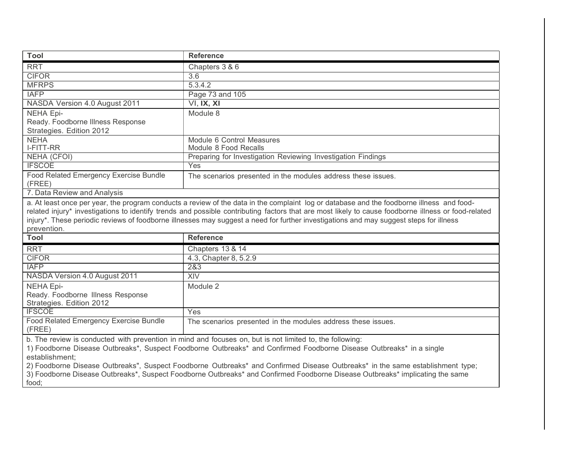| <b>Tool</b>                                                                                                                            | <b>Reference</b>                                                                                                                                                                                                                                                                                                  |
|----------------------------------------------------------------------------------------------------------------------------------------|-------------------------------------------------------------------------------------------------------------------------------------------------------------------------------------------------------------------------------------------------------------------------------------------------------------------|
| <b>RRT</b>                                                                                                                             | Chapters 3 & 6                                                                                                                                                                                                                                                                                                    |
| <b>CIFOR</b>                                                                                                                           | 3.6                                                                                                                                                                                                                                                                                                               |
| <b>MFRPS</b>                                                                                                                           | 5.3.4.2                                                                                                                                                                                                                                                                                                           |
| <b>IAFP</b>                                                                                                                            | Page 73 and 105                                                                                                                                                                                                                                                                                                   |
| NASDA Version 4.0 August 2011                                                                                                          | VI, IX, XI                                                                                                                                                                                                                                                                                                        |
| <b>NEHA Epi-</b>                                                                                                                       | Module 8                                                                                                                                                                                                                                                                                                          |
| Ready. Foodborne Illness Response                                                                                                      |                                                                                                                                                                                                                                                                                                                   |
| Strategies. Edition 2012                                                                                                               |                                                                                                                                                                                                                                                                                                                   |
| <b>NEHA</b>                                                                                                                            | Module 6 Control Measures                                                                                                                                                                                                                                                                                         |
| <b>I-FITT-RR</b>                                                                                                                       | Module 8 Food Recalls                                                                                                                                                                                                                                                                                             |
| <b>NEHA (CFOI)</b>                                                                                                                     | Preparing for Investigation Reviewing Investigation Findings                                                                                                                                                                                                                                                      |
| <b>IFSCOE</b>                                                                                                                          | Yes                                                                                                                                                                                                                                                                                                               |
| Food Related Emergency Exercise Bundle<br>(FREE)                                                                                       | The scenarios presented in the modules address these issues.                                                                                                                                                                                                                                                      |
| 7. Data Review and Analysis                                                                                                            |                                                                                                                                                                                                                                                                                                                   |
| prevention.<br>Tool                                                                                                                    | related injury* investigations to identify trends and possible contributing factors that are most likely to cause foodborne illness or food-related<br>injury*. These periodic reviews of foodborne illnesses may suggest a need for further investigations and may suggest steps for illness<br><b>Reference</b> |
|                                                                                                                                        |                                                                                                                                                                                                                                                                                                                   |
| <b>RRT</b><br><b>CIFOR</b>                                                                                                             | Chapters 13 & 14                                                                                                                                                                                                                                                                                                  |
| <b>IAFP</b>                                                                                                                            | 4.3, Chapter 8, 5.2.9<br>2&3                                                                                                                                                                                                                                                                                      |
| NASDA Version 4.0 August 2011                                                                                                          | <b>XIV</b>                                                                                                                                                                                                                                                                                                        |
|                                                                                                                                        |                                                                                                                                                                                                                                                                                                                   |
| <b>NEHA Epi-</b><br>Ready. Foodborne Illness Response                                                                                  | Module 2                                                                                                                                                                                                                                                                                                          |
| Strategies. Edition 2012                                                                                                               |                                                                                                                                                                                                                                                                                                                   |
| <b>IFSCOE</b>                                                                                                                          | Yes                                                                                                                                                                                                                                                                                                               |
| Food Related Emergency Exercise Bundle<br>(FREE)                                                                                       | The scenarios presented in the modules address these issues.                                                                                                                                                                                                                                                      |
| b. The review is conducted with prevention in mind and focuses on, but is not limited to, the following:                               |                                                                                                                                                                                                                                                                                                                   |
| 1) Foodborne Disease Outbreaks*, Suspect Foodborne Outbreaks* and Confirmed Foodborne Disease Outbreaks* in a single                   |                                                                                                                                                                                                                                                                                                                   |
| establishment;                                                                                                                         |                                                                                                                                                                                                                                                                                                                   |
| 2) Foodborne Disease Outbreaks", Suspect Foodborne Outbreaks* and Confirmed Disease Outbreaks* in the same establishment type;         |                                                                                                                                                                                                                                                                                                                   |
| 3) Foodborne Disease Outbreaks*, Suspect Foodborne Outbreaks* and Confirmed Foodborne Disease Outbreaks* implicating the same<br>food; |                                                                                                                                                                                                                                                                                                                   |